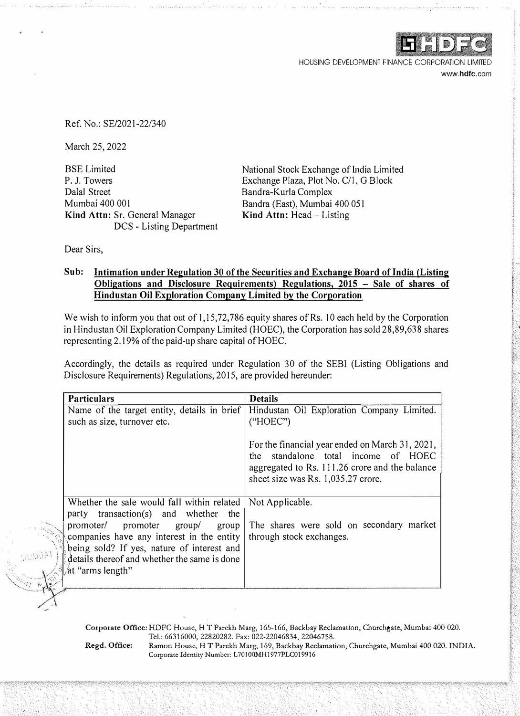

HOUSING DEVELOPMENT FINANCE CORPORATION LIMITED www.hdfc.com

Ref. No.: SE/2021-22/340

March 25, 2022

BSELimited P. J. Towers Dalal Street Mumbai 400 001 **Kind Attn:** Sr. General Manager DCS - Listing Department

National Stock Exchange of India Limited Exchange Plaza, Plot No. C/1, G Block Bandra-Kurla Complex Sandra (East), Mumbai 400 051 **Kind Attn: Head - Listing** 

Dear Sirs,

## **Sub: Intimation under Regulation 30 of the Securities and Exchange Board oflndia (Listing Obligations and Disclosure Requirements) Regulations, 2015 - Sale of shares of Hindustan Oil Exploration Company Limited by the Corporation**

We wish to inform you that out of 1,15,72,786 equity shares of Rs. 10 each held by the Corporation in Hindustan Oil Exploration Company Limited (HOEC), the Corporation has sold 28,89,638 shares representing 2.19% of the paid-up share capital of HOEC.

Accordingly, the details as required under Regulation 30 of the SEBI (Listing Obligations and Disclosure Requirements) Regulations, 2015, are provided hereunder:

| <b>Particulars</b>                                                              | <b>Details</b>                                                                                                                                                                    |
|---------------------------------------------------------------------------------|-----------------------------------------------------------------------------------------------------------------------------------------------------------------------------------|
| Name of the target entity, details in brief                                     | Hindustan Oil Exploration Company Limited.                                                                                                                                        |
| such as size, turnover etc.                                                     | ("HOEC")                                                                                                                                                                          |
|                                                                                 | For the financial year ended on March 31, 2021,<br>standalone total income of HOEC<br>the<br>aggregated to Rs. 111.26 crore and the balance<br>sheet size was Rs. 1,035.27 crore. |
|                                                                                 | Not Applicable.                                                                                                                                                                   |
| party transaction(s) and whether<br>the                                         |                                                                                                                                                                                   |
| promoter/<br>promoter group/ group<br>companies have any interest in the entity | The shares were sold on secondary market<br>through stock exchanges.                                                                                                              |
| details thereof and whether the same is done                                    |                                                                                                                                                                                   |
| at "arms length"                                                                |                                                                                                                                                                                   |
|                                                                                 | Whether the sale would fall within related<br>being sold? If yes, nature of interest and                                                                                          |

**Corporate Office:** HDFC House, H T Parekh Marg, 165-166, Backbay Reclamation, Churchgate, Mumbai 400 020. **Regd. Office:**  Tel.: 66316000, 22820282. Fax: 022-22046834, 22046758. **Ramon House, HT Parekh Marg, 169, Backbay Reclamation, Churchgate, Mumbai 400 020. INDIA. Corporate Identity Number: L70100MH1977PLC019916**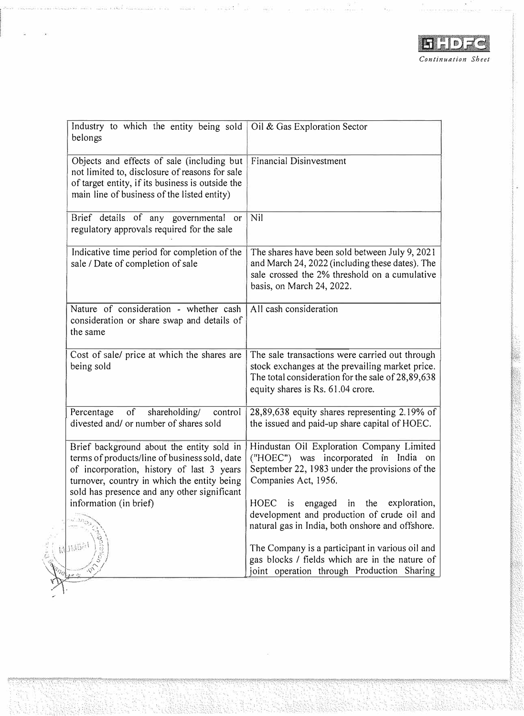i tomana e estatunidente.<br>Urbana e estatunidente

| Industry to which the entity being sold                                                                                                                                                                                               | Oil & Gas Exploration Sector                                                                                                                                                                |
|---------------------------------------------------------------------------------------------------------------------------------------------------------------------------------------------------------------------------------------|---------------------------------------------------------------------------------------------------------------------------------------------------------------------------------------------|
| belongs                                                                                                                                                                                                                               |                                                                                                                                                                                             |
| Objects and effects of sale (including but<br>not limited to, disclosure of reasons for sale<br>of target entity, if its business is outside the<br>main line of business of the listed entity)                                       | <b>Financial Disinvestment</b>                                                                                                                                                              |
| Brief details of any governmental or<br>regulatory approvals required for the sale                                                                                                                                                    | Nil                                                                                                                                                                                         |
| Indicative time period for completion of the<br>sale / Date of completion of sale                                                                                                                                                     | The shares have been sold between July 9, 2021<br>and March 24, 2022 (including these dates). The<br>sale crossed the 2% threshold on a cumulative<br>basis, on March 24, 2022.             |
| Nature of consideration - whether cash<br>consideration or share swap and details of<br>the same                                                                                                                                      | All cash consideration                                                                                                                                                                      |
| Cost of sale/ price at which the shares are<br>being sold                                                                                                                                                                             | The sale transactions were carried out through<br>stock exchanges at the prevailing market price.<br>The total consideration for the sale of 28,89,638<br>equity shares is Rs. 61.04 crore. |
| of<br>shareholding/<br>Percentage<br>control<br>divested and/ or number of shares sold                                                                                                                                                | 28,89,638 equity shares representing 2.19% of<br>the issued and paid-up share capital of HOEC.                                                                                              |
| Brief background about the entity sold in<br>terms of products/line of business sold, date<br>of incorporation, history of last 3 years<br>turnover, country in which the entity being<br>sold has presence and any other significant | Hindustan Oil Exploration Company Limited<br>("HOEC") was incorporated in India on<br>September 22, 1983 under the provisions of the<br>Companies Act, 1956.                                |
| information (in brief)                                                                                                                                                                                                                | engaged in the exploration,<br>HOEC<br>is<br>development and production of crude oil and<br>natural gas in India, both onshore and offshore.                                                |
| <b>MOBB</b>                                                                                                                                                                                                                           | The Company is a participant in various oil and<br>gas blocks / fields which are in the nature of<br>joint operation through Production Sharing                                             |

 $\bar{\nu}$ 

mgan